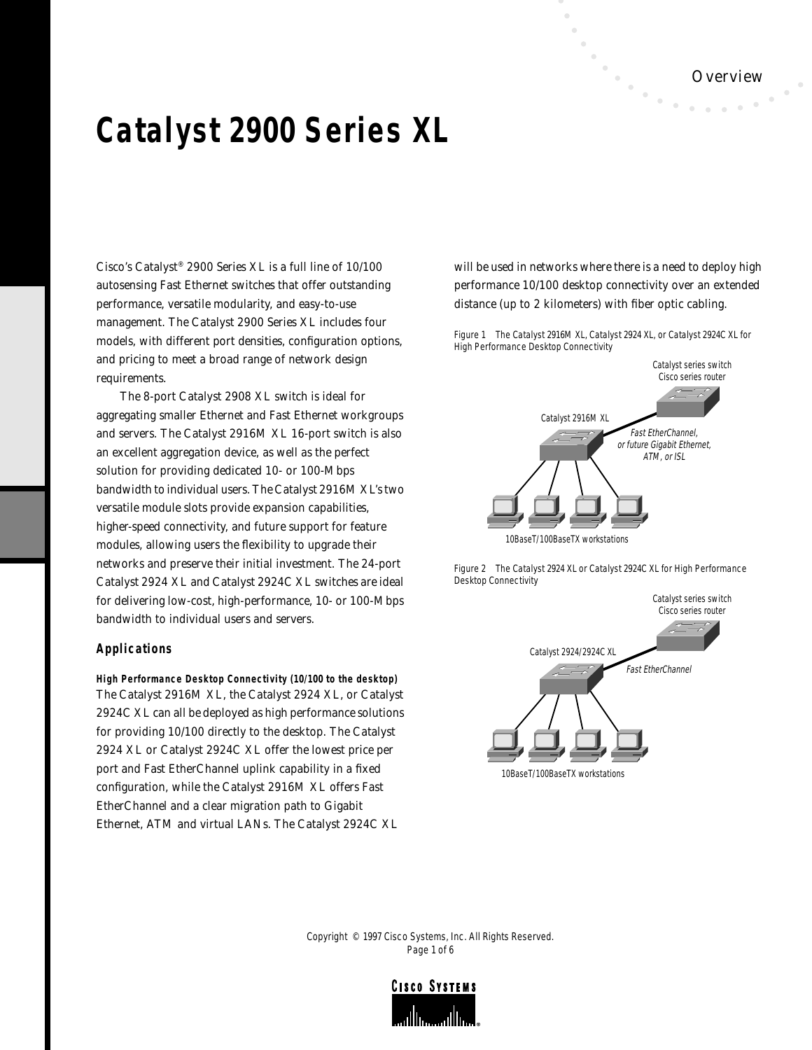# **Catalyst 2900 Series XL**

Cisco's Catalyst® 2900 Series XL is a full line of 10/100 autosensing Fast Ethernet switches that offer outstanding performance, versatile modularity, and easy-to-use management. The Catalyst 2900 Series XL includes four models, with different port densities, configuration options, and pricing to meet a broad range of network design requirements.

The 8-port Catalyst 2908 XL switch is ideal for aggregating smaller Ethernet and Fast Ethernet workgroups and servers. The Catalyst 2916M XL 16-port switch is also an excellent aggregation device, as well as the perfect solution for providing dedicated 10- or 100-Mbps bandwidth to individual users. The Catalyst 2916M XL's two versatile module slots provide expansion capabilities, higher-speed connectivity, and future support for feature modules, allowing users the flexibility to upgrade their networks and preserve their initial investment. The 24-port Catalyst 2924 XL and Catalyst 2924C XL switches are ideal for delivering low-cost, high-performance, 10- or 100-Mbps bandwidth to individual users and servers.

## **Applications**

**High Performance Desktop Connectivity (10/100 to the desktop)** The Catalyst 2916M XL, the Catalyst 2924 XL, or Catalyst 2924C XL can all be deployed as high performance solutions for providing 10/100 directly to the desktop. The Catalyst 2924 XL or Catalyst 2924C XL offer the lowest price per port and Fast EtherChannel uplink capability in a fixed configuration, while the Catalyst 2916M XL offers Fast EtherChannel and a clear migration path to Gigabit Ethernet, ATM and virtual LANs. The Catalyst 2924C XL

will be used in networks where there is a need to deploy high performance 10/100 desktop connectivity over an extended distance (up to 2 kilometers) with fiber optic cabling.

Figure 1 The Catalyst 2916M XL, Catalyst 2924 XL, or Catalyst 2924C XL for High Performance Desktop Connectivity



Figure 2 The Catalyst 2924 XL or Catalyst 2924C XL for High Performance Desktop Connectivity



Copyright © 1997 Cisco Systems, Inc. All Rights Reserved. Page 1 of 6

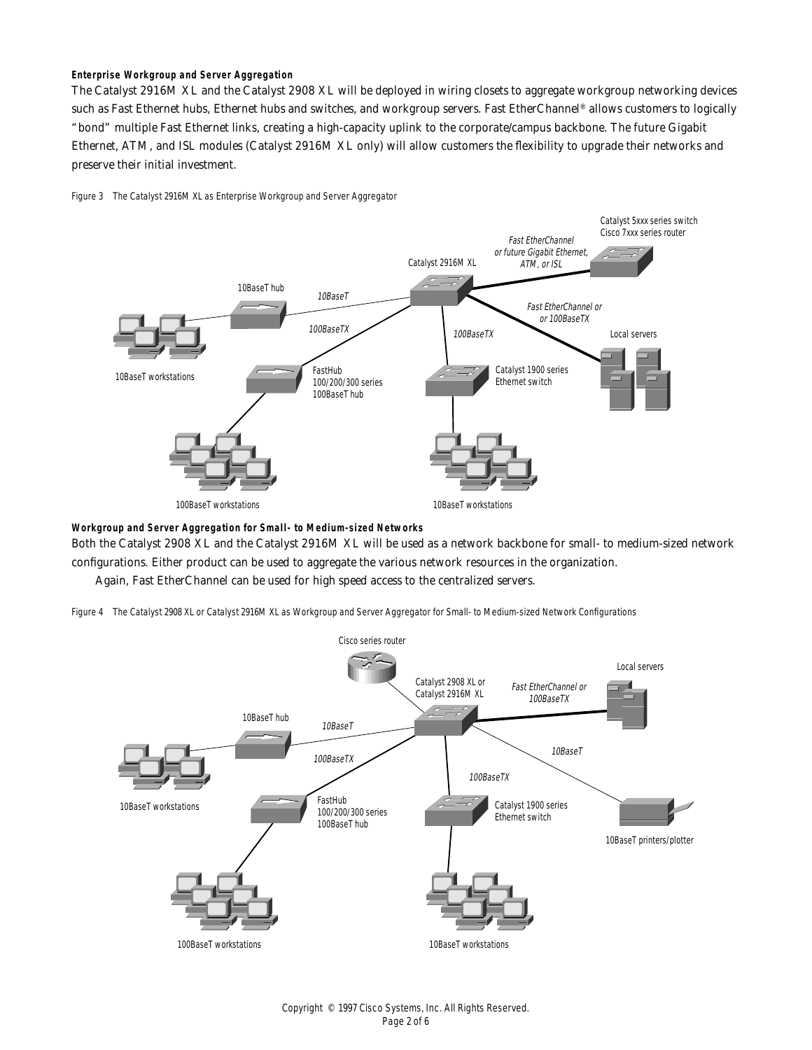## **Enterprise Workgroup and Server Aggregation**

The Catalyst 2916M XL and the Catalyst 2908 XL will be deployed in wiring closets to aggregate workgroup networking devices such as Fast Ethernet hubs, Ethernet hubs and switches, and workgroup servers. Fast EtherChannel® allows customers to logically "bond" multiple Fast Ethernet links, creating a high-capacity uplink to the corporate/campus backbone. The future Gigabit Ethernet, ATM, and ISL modules (Catalyst 2916M XL only) will allow customers the flexibility to upgrade their networks and preserve their initial investment.

### Figure 3 The Catalyst 2916M XL as Enterprise Workgroup and Server Aggregator



**Workgroup and Server Aggregation for Small- to Medium-sized Networks**

Both the Catalyst 2908 XL and the Catalyst 2916M XL will be used as a network backbone for small- to medium-sized network configurations. Either product can be used to aggregate the various network resources in the organization.

Again, Fast EtherChannel can be used for high speed access to the centralized servers.



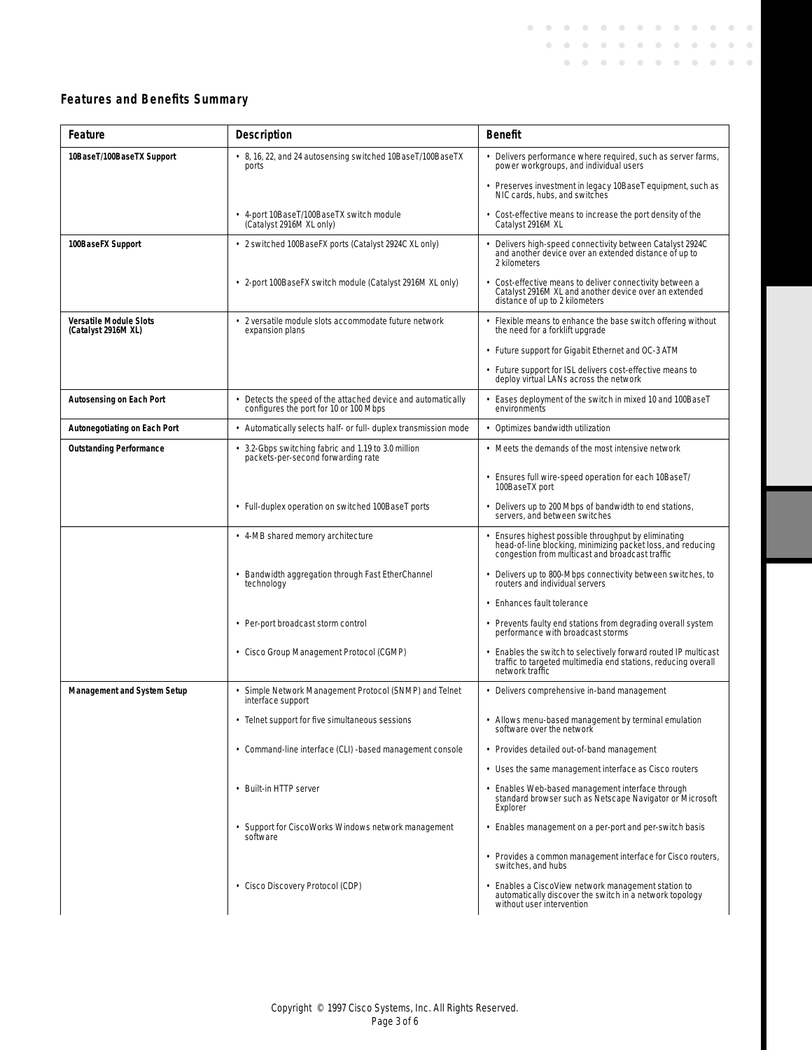# **Features and Benefits Summary**

| Feature                                              | <b>Description</b>                                                                                   | <b>Benefit</b>                                                                                                                                                       |  |
|------------------------------------------------------|------------------------------------------------------------------------------------------------------|----------------------------------------------------------------------------------------------------------------------------------------------------------------------|--|
| 10BaseT/100BaseTX Support                            | • 8, 16, 22, and 24 autosensing switched 10BaseT/100BaseTX<br>ports                                  | Delivers performance where required, such as server farms,<br>power workgroups, and individual users                                                                 |  |
|                                                      |                                                                                                      | • Preserves investment in legacy 10BaseT equipment, such as<br>NIC cards, hubs, and switches                                                                         |  |
|                                                      | · 4-port 10BaseT/100BaseTX switch module<br>(Catalyst 2916M XL only)                                 | • Cost-effective means to increase the port density of the<br>Catalyst 2916M XL                                                                                      |  |
| 100BaseFX Support                                    | • 2 switched 100BaseFX ports (Catalyst 2924C XL only)                                                | Delivers high-speed connectivity between Catalyst 2924C<br>and another device over an extended distance of up to<br>2 kilometers                                     |  |
|                                                      | • 2-port 100BaseFX switch module (Catalyst 2916M XL only)                                            | Cost-effective means to deliver connectivity between a<br>Catalyst 2916M XL and another device over an extended<br>distance of up to 2 kilometers                    |  |
| <b>Versatile Module Slots</b><br>(Catalyst 2916M XL) | • 2 versatile module slots accommodate future network<br>expansion plans                             | • Flexible means to enhance the base switch offering without<br>the need for a forklift upgrade                                                                      |  |
|                                                      |                                                                                                      | • Future support for Gigabit Ethernet and OC-3 ATM                                                                                                                   |  |
|                                                      |                                                                                                      | • Future support for ISL delivers cost-effective means to<br>deploy virtual LANs across the network                                                                  |  |
| <b>Autosensing on Each Port</b>                      | Detects the speed of the attached device and automatically<br>configures the port for 10 or 100 Mbps | Eases deployment of the switch in mixed 10 and 100BaseT<br>environments                                                                                              |  |
| <b>Autonegotiating on Each Port</b>                  | • Automatically selects half- or full- duplex transmission mode                                      | • Optimizes bandwidth utilization                                                                                                                                    |  |
| <b>Outstanding Performance</b>                       | 3.2-Gbps switching fabric and 1.19 to 3.0 million<br>packets-per-second forwarding rate              | • Meets the demands of the most intensive network                                                                                                                    |  |
|                                                      |                                                                                                      | • Ensures full wire-speed operation for each 10BaseT/<br>100BaseTX port                                                                                              |  |
|                                                      | • Full-duplex operation on switched 100BaseT ports                                                   | Delivers up to 200 Mbps of bandwidth to end stations,<br>servers, and between switches                                                                               |  |
|                                                      | • 4-MB shared memory architecture                                                                    | Ensures highest possible throughput by eliminating<br>head-of-line blocking, minimizing packet loss, and reducing<br>congestion from multicast and broadcast traffic |  |
|                                                      | • Bandwidth aggregation through Fast EtherChannel<br>technology                                      | Delivers up to 800-Mbps connectivity between switches, to<br>routers and individual servers                                                                          |  |
|                                                      |                                                                                                      | • Enhances fault tolerance                                                                                                                                           |  |
|                                                      | • Per-port broadcast storm control                                                                   | • Prevents faulty end stations from degrading overall system<br>performance with broadcast storms                                                                    |  |
|                                                      | • Cisco Group Management Protocol (CGMP)                                                             | • Enables the switch to selectively forward routed IP multicast<br>traffic to targeted multimedia end stations, reducing overall<br>network traffic                  |  |
| <b>Management and System Setup</b>                   | · Simple Network Management Protocol (SNMP) and Telnet<br>interface support                          | • Delivers comprehensive in-band management                                                                                                                          |  |
|                                                      | Telnet support for five simultaneous sessions                                                        | Allows menu-based management by terminal emulation<br>software over the network                                                                                      |  |
|                                                      | • Command-line interface (CLI) -based management console                                             | • Provides detailed out-of-band management                                                                                                                           |  |
|                                                      |                                                                                                      | • Uses the same management interface as Cisco routers                                                                                                                |  |
|                                                      | • Built-in HTTP server                                                                               | · Enables Web-based management interface through<br>standard browser such as Netscape Navigator or Microsoft<br>Explorer                                             |  |
|                                                      | • Support for CiscoWorks Windows network management<br>software                                      | • Enables management on a per-port and per-switch basis                                                                                                              |  |
|                                                      |                                                                                                      | • Provides a common management interface for Cisco routers,<br>switches, and hubs                                                                                    |  |
|                                                      | • Cisco Discovery Protocol (CDP)                                                                     | Enables a CiscoView network management station to<br>automatically discover the switch in a network topology<br>without user intervention                            |  |

 $\sim$  $\bullet$  $\bullet$  $\hat{\mathcal{O}}$  $\bullet$  $\bullet$  $\bullet$  $\bullet$  $\bullet$  $\bullet$  $\bullet$  $\bullet$  $\bullet$  $\hat{\mathcal{O}}$ 

 $\alpha$ 

 $\bullet$  $\bullet$  $\alpha$  $\bullet$  $\bullet$  $\bullet$  $\bullet$  $\bullet$ 

 $\mathbf{0} \rightarrow \mathbf{0}$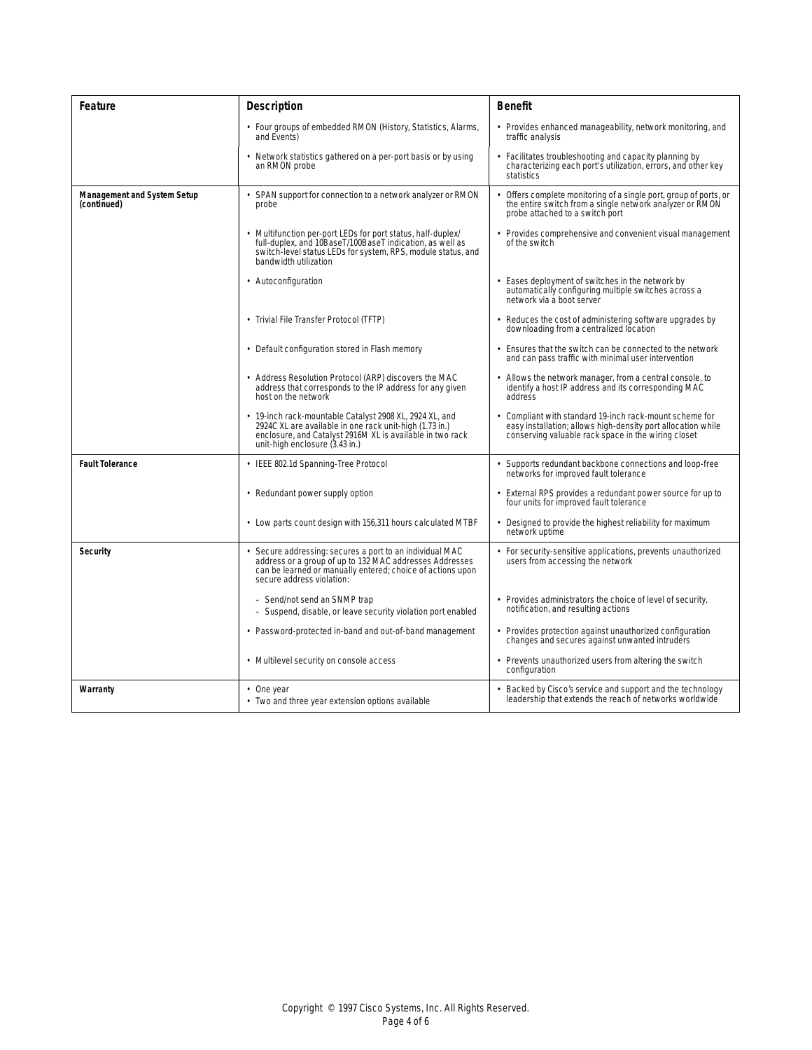| Feature                                           | <b>Description</b>                                                                                                                                                                                              | <b>Benefit</b>                                                                                                                                                               |
|---------------------------------------------------|-----------------------------------------------------------------------------------------------------------------------------------------------------------------------------------------------------------------|------------------------------------------------------------------------------------------------------------------------------------------------------------------------------|
|                                                   | • Four groups of embedded RMON (History, Statistics, Alarms,<br>and Events)                                                                                                                                     | • Provides enhanced manageability, network monitoring, and<br>traffic analysis                                                                                               |
|                                                   | Network statistics gathered on a per-port basis or by using<br>an RMON probe                                                                                                                                    | Facilitates troubleshooting and capacity planning by<br>characterizing each port's utilization, errors, and other key<br>statistics                                          |
| <b>Management and System Setup</b><br>(continued) | SPAN support for connection to a network analyzer or RMON<br>probe                                                                                                                                              | Offers complete monitoring of a single port, group of ports, or<br>the entire switch from a single network analyzer or RMON<br>probe attached to a switch port               |
|                                                   | Multifunction per-port LEDs for port status, half-duplex/<br>full-duplex, and 10BaseT/100BaseT indication, as well as<br>switch-level status LEDs for system, RPS, module status, and<br>bandwidth utilization  | Provides comprehensive and convenient visual management<br>of the switch                                                                                                     |
|                                                   | • Autoconfiguration                                                                                                                                                                                             | • Eases deployment of switches in the network by<br>automatically configuring multiple switches across a<br>network via a boot server                                        |
|                                                   | • Trivial File Transfer Protocol (TFTP)                                                                                                                                                                         | Reduces the cost of administering software upgrades by<br>downloading from a centralized location                                                                            |
|                                                   | • Default configuration stored in Flash memory                                                                                                                                                                  | Ensures that the switch can be connected to the network<br>and can pass traffic with minimal user intervention                                                               |
|                                                   | • Address Resolution Protocol (ARP) discovers the MAC<br>address that corresponds to the IP address for any given<br>host on the network                                                                        | Allows the network manager, from a central console, to<br>identify a host IP address and its corresponding MAC<br>address                                                    |
|                                                   | 19-inch rack-mountable Catalyst 2908 XL, 2924 XL, and<br>2924C XL are available in one rack unit-high (1.73 in.)<br>enclosure, and Catalyst 2916M XL is available in two rack<br>unit-high enclosure (3.43 in.) | Compliant with standard 19-inch rack-mount scheme for<br>easy installation; allows high-density port allocation while<br>conserving valuable rack space in the wiring closet |
| <b>Fault Tolerance</b>                            | IEEE 802.1d Spanning-Tree Protocol                                                                                                                                                                              | Supports redundant backbone connections and loop-free<br>networks for improved fault tolerance                                                                               |
|                                                   | • Redundant power supply option                                                                                                                                                                                 | • External RPS provides a redundant power source for up to<br>four units for improved fault tolerance                                                                        |
|                                                   | • Low parts count design with 156,311 hours calculated MTBF                                                                                                                                                     | Designed to provide the highest reliability for maximum<br>network uptime                                                                                                    |
| <b>Security</b>                                   | Secure addressing: secures a port to an individual MAC<br>address or a group of up to 132 MAC addresses Addresses<br>can be learned or manually entered; choice of actions upon<br>secure address violation:    | For security-sensitive applications, prevents unauthorized<br>users from accessing the network                                                                               |
|                                                   | - Send/not send an SNMP trap<br>- Suspend, disable, or leave security violation port enabled                                                                                                                    | Provides administrators the choice of level of security.<br>notification, and resulting actions                                                                              |
|                                                   | • Password-protected in-band and out-of-band management                                                                                                                                                         | Provides protection against unauthorized configuration<br>changes and secures against unwanted intruders                                                                     |
|                                                   | • Multilevel security on console access                                                                                                                                                                         | • Prevents unauthorized users from altering the switch<br>configuration                                                                                                      |
| Warranty                                          | $\cdot$ One year<br>• Two and three year extension options available                                                                                                                                            | Backed by Cisco's service and support and the technology<br>leadership that extends the reach of networks worldwide                                                          |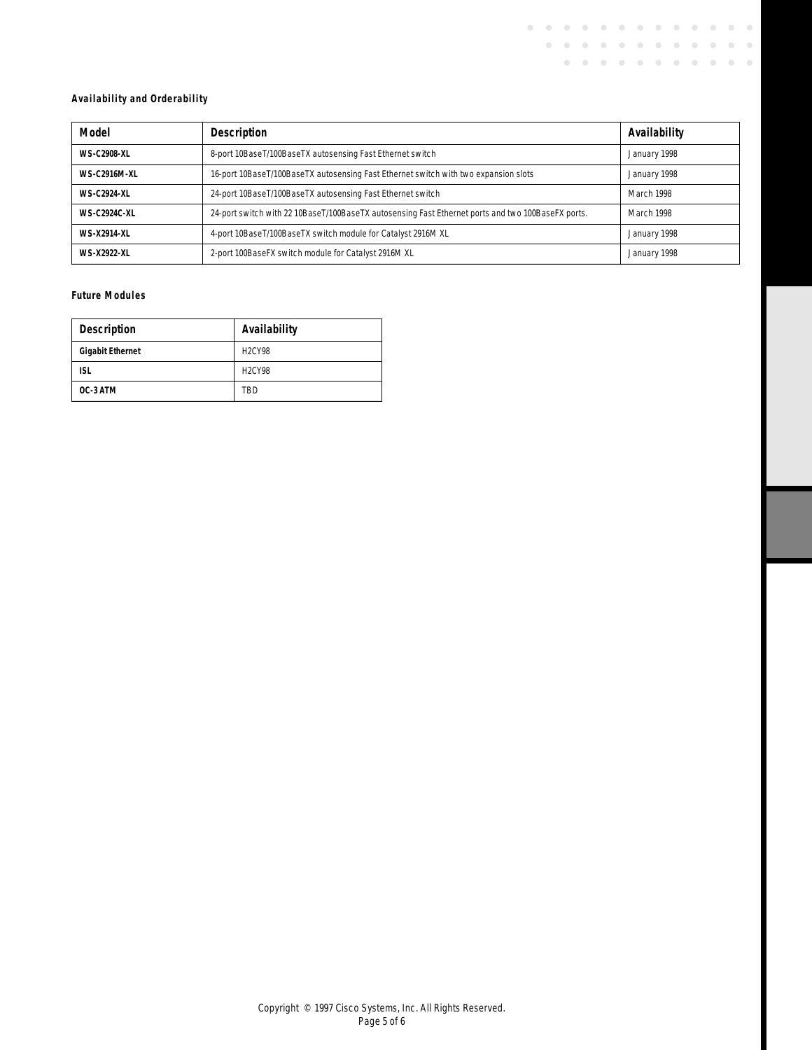## **Availability and Orderability**

| Model               | <b>Description</b>                                                                                | Availability |
|---------------------|---------------------------------------------------------------------------------------------------|--------------|
| WS-C2908-XI         | 8-port 10BaseT/100BaseTX autosensing Fast Ethernet switch                                         | January 1998 |
| <b>WS-C2916M-XL</b> | 16-port 10BaseT/100BaseTX autosensing Fast Ethernet switch with two expansion slots               | January 1998 |
| <b>WS-C2924-XL</b>  | 24-port 10BaseT/100BaseTX autosensing Fast Ethernet switch                                        | March 1998   |
| <b>WS-C2924C-XL</b> | 24-port switch with 22 10BaseT/100BaseTX autosensing Fast Ethernet ports and two 100BaseFX ports. | March 1998   |
| <b>WS-X2914-XL</b>  | 4-port 10BaseT/100BaseTX switch module for Catalyst 2916M XL                                      | January 1998 |
| <b>WS-X2922-XL</b>  | 2-port 100BaseFX switch module for Catalyst 2916M XL                                              | January 1998 |

 $\mathbf{0}=\mathbf{0}=\mathbf{0}=\mathbf{0}$ 

 $\alpha = 0$  $\sim$   $\mathbf{0}=\mathbf{0}=\mathbf{0}$  .

 $\begin{array}{cccccccccccccc} 0 & 0 & 0 & 0 & 0 & 0 & 0 & 0 \end{array}$ 

 $\mathbf{0}=\mathbf{0}=\mathbf{0}$ 

 $\bullet$  $\hat{\mathcal{O}}$  $\bullet$  $\hat{\mathcal{O}}$ 

 $\bullet$  $\bullet$ 

## **Future Modules**

| <b>Description</b>      | Availability  |
|-------------------------|---------------|
| <b>Gigabit Ethernet</b> | <b>H2CY98</b> |
| <b>ISL</b>              | <b>H2CY98</b> |
| OC-3 ATM                | TBD           |